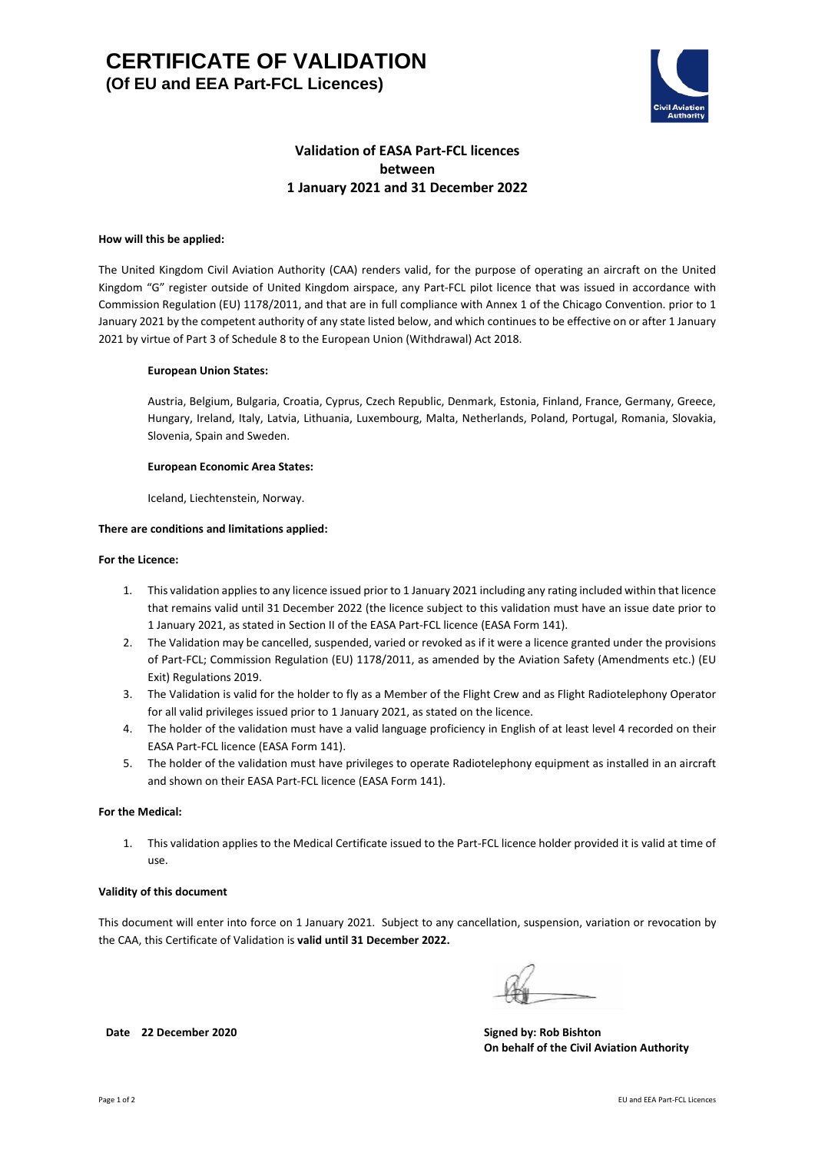

# **Validation of EASA Part-FCL licences between 1 January 2021 and 31 December 2022**

### **How will this be applied:**

The United Kingdom Civil Aviation Authority (CAA) renders valid, for the purpose of operating an aircraft on the United Kingdom "G" register outside of United Kingdom airspace, any Part-FCL pilot licence that was issued in accordance with Commission Regulation (EU) 1178/2011, and that are in full compliance with Annex 1 of the Chicago Convention. prior to 1 January 2021 by the competent authority of any state listed below, and which continues to be effective on or after 1 January 2021 by virtue of Part 3 of Schedule 8 to the European Union (Withdrawal) Act 2018.

### **European Union States:**

Austria, Belgium, Bulgaria, Croatia, Cyprus, Czech Republic, Denmark, Estonia, Finland, France, Germany, Greece, Hungary, Ireland, Italy, Latvia, Lithuania, Luxembourg, Malta, Netherlands, Poland, Portugal, Romania, Slovakia, Slovenia, Spain and Sweden.

### **European Economic Area States:**

Iceland, Liechtenstein, Norway.

### **There are conditions and limitations applied:**

#### **For the Licence:**

- 1. This validation appliesto any licence issued prior to 1 January 2021 including any rating included within that licence that remains valid until 31 December 2022 (the licence subject to this validation must have an issue date prior to 1 January 2021, as stated in Section II of the EASA Part-FCL licence (EASA Form 141).
- 2. The Validation may be cancelled, suspended, varied or revoked as if it were a licence granted under the provisions of Part-FCL; Commission Regulation (EU) 1178/2011, as amended by the Aviation Safety (Amendments etc.) (EU Exit) Regulations 2019.
- 3. The Validation is valid for the holder to fly as a Member of the Flight Crew and as Flight Radiotelephony Operator for all valid privileges issued prior to 1 January 2021, as stated on the licence.
- 4. The holder of the validation must have a valid language proficiency in English of at least level 4 recorded on their EASA Part-FCL licence (EASA Form 141).
- 5. The holder of the validation must have privileges to operate Radiotelephony equipment as installed in an aircraft and shown on their EASA Part-FCL licence (EASA Form 141).

### **For the Medical:**

1. This validation applies to the Medical Certificate issued to the Part-FCL licence holder provided it is valid at time of use.

#### **Validity of this document**

This document will enter into force on 1 January 2021. Subject to any cancellation, suspension, variation or revocation by the CAA, this Certificate of Validation is **valid until 31 December 2022.**

**On behalf of the Civil Aviation Authority**

**Date 22 December 2020 Signed by: Rob Bishton**